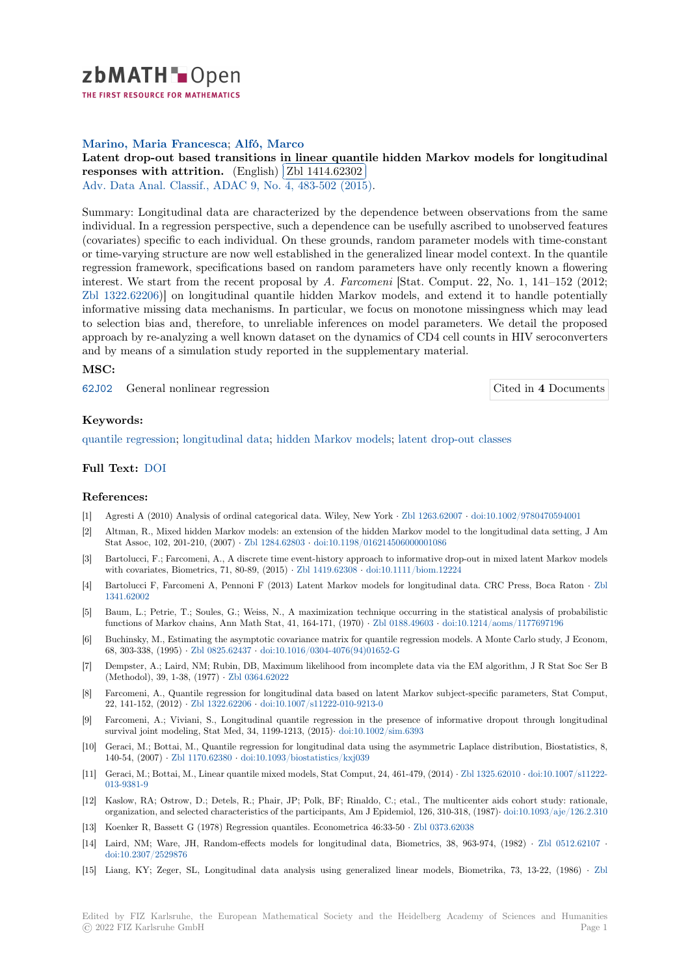

THE FIRST RESOURCE FOR MATHEMATICS

## **Marino, Maria Francesca**; **Alfó, Marco**

# [L](https://zbmath.org/)atent drop-out based transitions in linear quantile hidden Markov models for longitudinal Latent drop-out based transitions in linear quality<br>responses with attrition. (English) **Zbl** 1414.62302

Adv. Data Anal. Classif., ADAC 9, No. 4, 483-502 (2015).

[Summary: Longitudinal data are characterized by the dependence between observations from the same](https://zbmath.org/1414.62302) [individual. In a regression pe](https://zbmath.org/1414.62302)rspective,s[uch a dependence](https://zbmath.org/1414.62302) can be usefully ascribed to unobserved features [\(covariates\) specific to each indiv](https://zbmath.org/journals/?q=se:4917)[idual. On these grounds,](https://zbmath.org/?q=in:350692) random parameter models with time-constant or time-varying structure are now well established in the generalized linear model context. In the quantile regression framework, specifications based on random parameters have only recently known a flowering interest. We start from the recent proposal by *A. Farcomeni* [Stat. Comput. 22, No. 1, 141–152 (2012; Zbl 1322.62206)] on longitudinal quantile hidden Markov models, and extend it to handle potentially informative missing data mechanisms. In particular, we focus on monotone missingness which may lead to selection bias and, therefore, to unreliable inferences on model parameters. We detail the proposed approach by re-analyzing a well known dataset on the dynamics of CD4 cell counts in HIV seroconverters [and by means o](https://zbmath.org/?q=an:1322.62206)f a simulation study reported in the supplementary material.

## **MSC:**

62J02 General nonlinear regression Cited in **4** Documents

### **Keywords:**

[quanti](https://zbmath.org/classification/?q=cc:62J02)le regression; longitudinal data; hidden Markov models; latent drop-out cla[sses](https://zbmath.org/?q=rf:1414.62302|7061530)

## **Full Text:** DOI

#### **[References:](https://zbmath.org/?q=ut:quantile+regression)**

- [1] Agresti A (2010) Analysis of ordinal categorical data. Wiley, New York *·* Zbl 1263.62007 *·* doi:10.1002/9780470594001
- [2] Altman, [R., Mi](https://dx.doi.org/10.1007/s11634-015-0222-x)xed hidden Markov models: an extension of the hidden Markov model to the longitudinal data setting, J Am Stat Assoc, 102, 201-210, (2007) *·* Zbl 1284.62803 *·* doi:10.1198/016214506000001086
- [3] Bartolucci, F.; Farcomeni, A., A discrete time event-history approach to informative drop-out in mixed latent Markov models with covariates, Biometrics, 71, 80-89, (2015) *·* Zbl 1419.62308 *·* doi:10.1[111/biom.12224](https://zbmath.org/1263.62007)
- [4] Bartolucci F, Farcomeni A, Pennoni F (2013) Latent Markov models for longitudinal data. CRC Press, Boca Raton *·* Zbl 1341.62002
- [5] Baum, L.; Petrie, T.; Soules, G.; Weiss, N., A maximization technique occurring in the statistical analysis of probabilistic functions of Markov chains, Ann Math Stat, 41[, 164-171, \(1970](https://zbmath.org/1419.62308)) *·* [Zbl 0188.49603](https://dx.doi.org/10.1111/biom.12224) *·* doi:10.1214/aoms/1177697196
- [6] Buchinsky, M., Estimating the asymptotic covariance matrix for quantile regression models. A Monte Carlo study, J Econ[om,](https://zbmath.org/1341.62002) [68, 303-338](https://zbmath.org/1341.62002), (1995) *·* Zbl 0825.62437 *·* doi:10.1016/0304-4076(94)01652-G
- [7] Dempster, A.; Laird, NM; Rubin, DB, Maximum likelihood from incomplete data via the EM algorithm, J R Stat Soc Ser B (Methodol), 39, 1-38, (1977) *·* Zbl 0364.62022
- [8] Farcomeni, A., Quantile regression for longitudinal data based on latent Markov subject-specific parameters, Stat Comput, 22, 141-152, (2012) *·* [Zbl 1322.62206](https://zbmath.org/0825.62437) *·* [doi:10.1007/s11222-010-9213-0](https://dx.doi.org/10.1016/0304-4076(94)01652-G)
- [9] Farcomeni, A.; Viviani, S., Longitudinal quantile regression in the presence of informative dropout through longitudinal survival joint modeling, Stat [Med, 34, 1199-12](https://zbmath.org/0364.62022)13, (2015)*·* doi:10.1002/sim.6393
- [10] Geraci, M.; Bottai, M., Quantile regression for longitudinal data using the asymmetric Laplace distribution, Biostatistics, 8, 140-54, (2007) *·* Zbl [1170.62380](https://zbmath.org/1322.62206) *·* doi:1[0.1093/biostatistics/kxj039](https://dx.doi.org/10.1007/s11222-010-9213-0)
- [11] Geraci, M.; Bottai, M., Linear quantile mixed models, Stat Comput, 24, 461-479, (2014) *·* Zbl 1325.62010 *·* doi:10.1007/s11222- 013-9381-9
- [12] Kaslow, RA; Ostrow, D.; Detels, R.; Phair, JP; Polk, BF; Rinaldo, C.; etal., The multicenter aids cohort study: rationale, organization, an[d selected chara](https://zbmath.org/1170.62380)ct[eristics of the participants, Am J](https://dx.doi.org/10.1093/biostatistics/kxj039) Epidemiol, 126, 310-318, (1987)*·* doi:10.1093/aje/126.2.310
- [13] Koenker R, Bassett G (1978) Regression quantiles. Econometrica 46:33-50 *·* Zbl 0373.62[038](https://zbmath.org/1325.62010)
- [14] [Laird, NM](https://dx.doi.org/10.1007/s11222-013-9381-9); Ware, JH, Random-effects models for longitudinal data, Biometrics, 38, 963-974, (1982) *·* Zbl 0512.62107 *·* doi:10.2307/2529876
- [15] Liang, KY; Zeger, SL, Longitudinal data analysis using generalized linear models, Biometrika[, 73, 13-22, \(1986\)](https://dx.doi.org/10.1093/aje/126.2.310) *·* Zbl